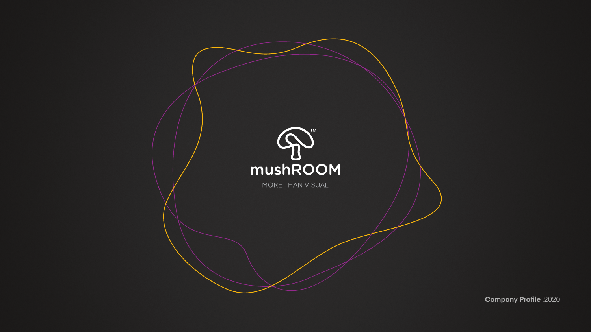

**Company Profile** .2020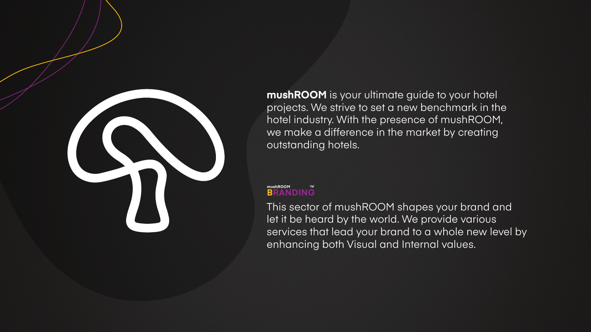

**mushROOM** is your ultimate guide to your hotel projects. We strive to set a new benchmark in the hotel industry. With the presence of mushROOM, we make a difference in the market by creating outstanding hotels.

This sector of mushROOM shapes your brand and let it be heard by the world. We provide various services that lead your brand to a whole new level by enhancing both Visual and Internal values.

### **mushROOM BRANDING**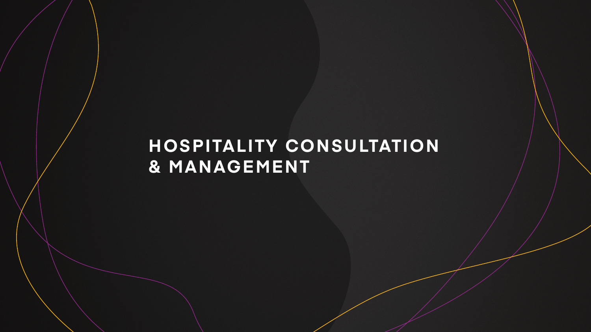## **HOSPITALITY CONSULTATION & MANAGEMENT**

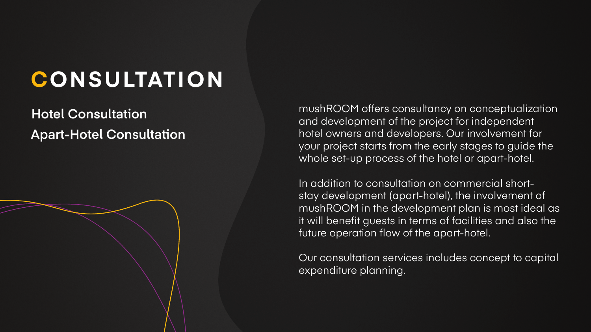# **CONSULTATION**

## **Hotel Consultation Apart-Hotel Consultation**

mushROOM offers consultancy on conceptualization and development of the project for independent hotel owners and developers. Our involvement for your project starts from the early stages to guide the whole set-up process of the hotel or apart-hotel.

In addition to consultation on commercial shortstay development (apart-hotel), the involvement of mushROOM in the development plan is most ideal as it will benefit guests in terms of facilities and also the future operation flow of the apart-hotel.

Our consultation services includes concept to capital expenditure planning.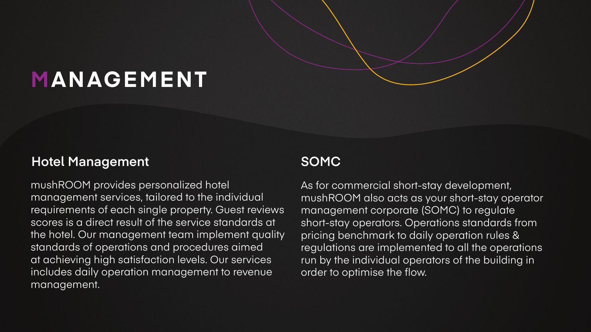## **MANAGEMENT**

## **Hotel Management SOMC**

As for commercial short-stay development, mushROOM also acts as your short-stay operator management corporate (SOMC) to regulate short-stay operators. Operations standards from pricing benchmark to daily operation rules & regulations are implemented to all the operations run by the individual operators of the building in order to optimise the flow.

mushROOM provides personalized hotel management services, tailored to the individual requirements of each single property. Guest reviews scores is a direct result of the service standards at the hotel. Our management team implement quality standards of operations and procedures aimed at achieving high satisfaction levels. Our services includes daily operation management to revenue management.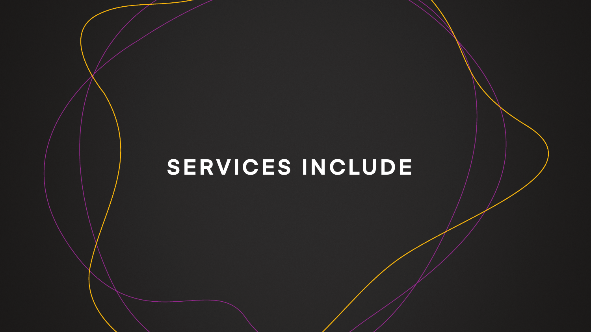# **SERVICES INCLUDE**

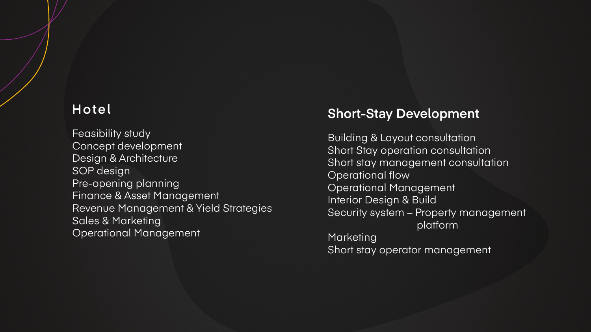Operational flow Operational Management Interior Design & Build

- Building & Layout consultation Short Stay operation consultation Short stay management consultation
	-
	-
	-
- Security system Property management platform

**Marketing** Short stay operator management

## **Short-Stay Development**

Feasibility study Concept development Design & Architecture SOP design Pre-opening planning Finance & Asset Management Revenue Management & Yield Strategies Sales & Marketing Operational Management

## **Hotel**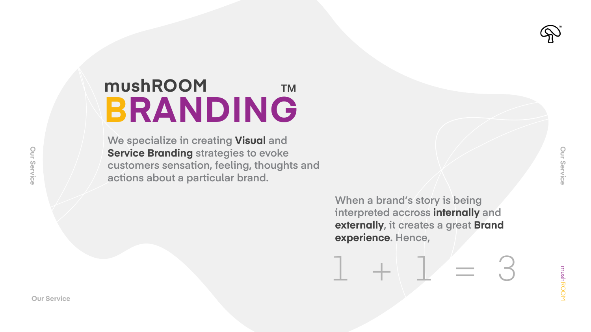mushROOM mushROOM

## **mushROOM TM BRANDING**

**We specialize in creating Visual and Service Branding strategies to evoke customers sensation, feeling, thoughts and actions about a particular brand.**

## **When a brand's story is being interpreted accross internally and externally, it creates a great Brand**

**experience. Hence,**

**Our Service**



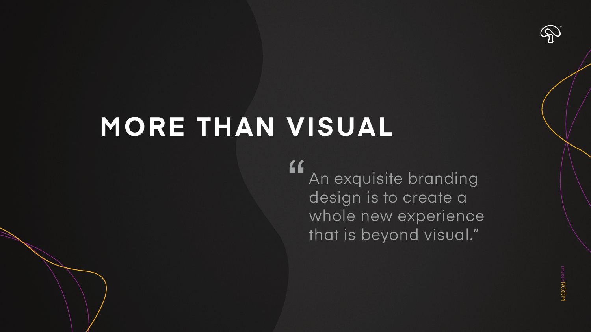# **MORE THAN VISUAL**

mushROOM **USHROON** 

An exquisite branding design is to create a whole new experience that is beyond visual."  $\epsilon$ 

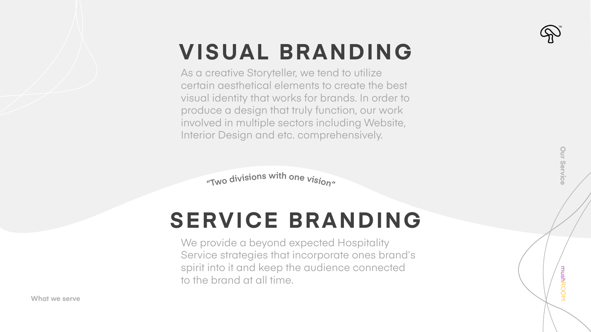mushROOM

mushROOM

# **VISUAL BRANDING**

# **SERVICE BRANDING**

As a creative Storyteller, we tend to utilize certain aesthetical elements to create the best visual identity that works for brands. In order to produce a design that truly function, our work involved in multiple sectors including Website, Interior Design and etc. comprehensively.

"Two divisions with one vision"

We provide a beyond expected Hospitality Service strategies that incorporate ones brand's spirit into it and keep the audience connected to the brand at all time.







**Our Service**

Our Service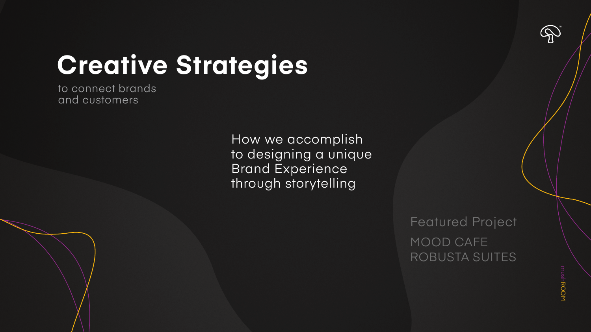# **Creative Strategies**

**MOORUSHROOM** mushROOM

## MOOD CAFE ROBUSTA SUITES Featured Project

How we accomplish to designing a unique Brand Experience through storytelling



to connect brands and customers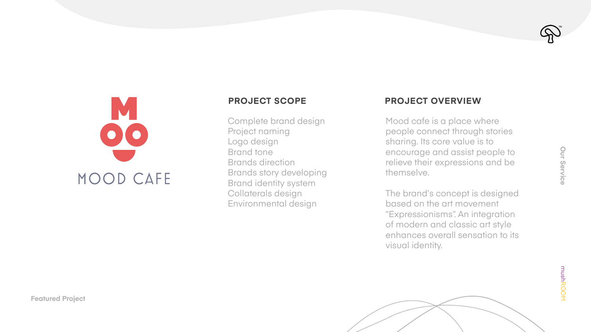mushROOM mushROOM



Mood cafe is a place where people connect through stories sharing. Its core value is to encourage and assist people to relieve their expressions and be themselve.

The brand's concept is designed based on the art movement "Expressionisms". An integration of modern and classic art style enhances overall sensation to its visual identity.



Complete brand design Project naming Logo design Brand tone Brands direction Brands story developing Brand identity system Collaterals design Environmental design

## **PROJECT SCOPE PROJECT OVERVIEW**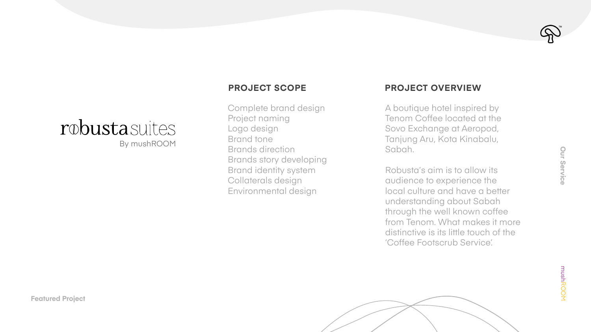A boutique hotel inspired by Tenom Coffee located at the Sovo Exchange at Aeropod, Tanjung Aru, Kota Kinabalu, Sabah.

Robusta's aim is to allow its audience to experience the local culture and have a better understanding about Sabah through the well known coffee from Tenom. What makes it more distinctive is its little touch of the 'Coffee Footscrub Service'.

Our Service **Our Service**<br> **Our Service** 

mushROOM

## robustasuites By mushROOM

Complete brand design Project naming Logo design Brand tone Brands direction Brands story developing Brand identity system Collaterals design Environmental design

## **PROJECT SCOPE PROJECT OVERVIEW**

**Featured Project**

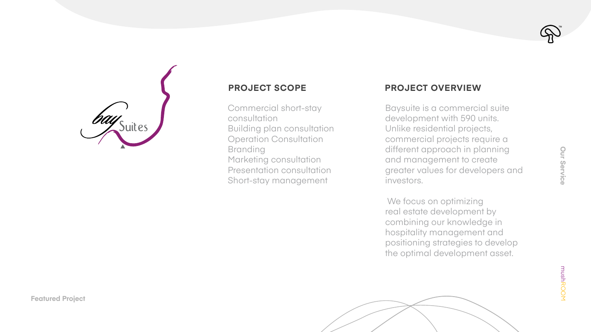Baysuite is a commercial suite development with 590 units. Unlike residential projects, commercial projects require a different approach in planning and management to create greater values for developers and investors.

 We focus on optimizing real estate development by combining our knowledge in hospitality management and positioning strategies to develop the optimal development asset.



Commercial short-stay consultation Building plan consultation Operation Consultation **Branding** Marketing consultation Presentation consultation Short-stay management

## **PROJECT SCOPE PROJECT OVERVIEW**

**Featured Project**

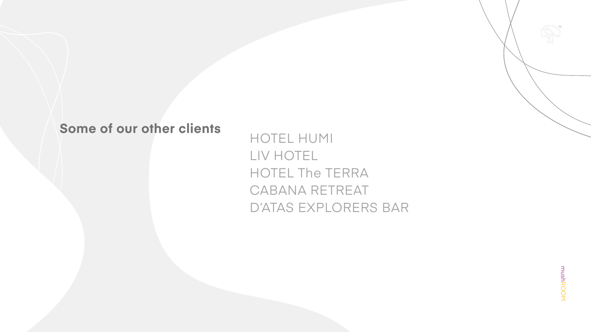## **Some of our other clients**

## mushROOM mushROOM

HOTEL HUMI LIV HOTEL HOTEL The TERRA CABANA RETREAT D'ATAS EXPLORERS BAR

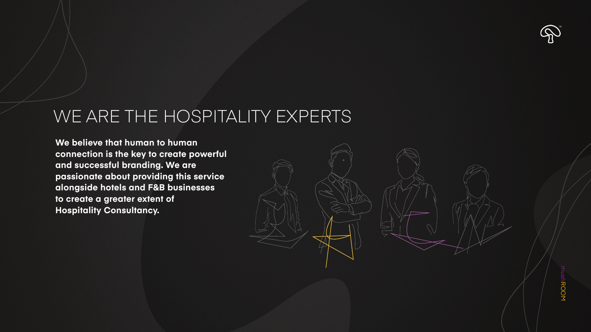## WE ARE THE HOSPITALITY EXPERTS

**We believe that human to human connection is the key to create powerful and successful branding. We are passionate about providing this service alongside hotels and F&B businesses to create a greater extent of Hospitality Consultancy.**





# mushROOM **MOOBUSNU**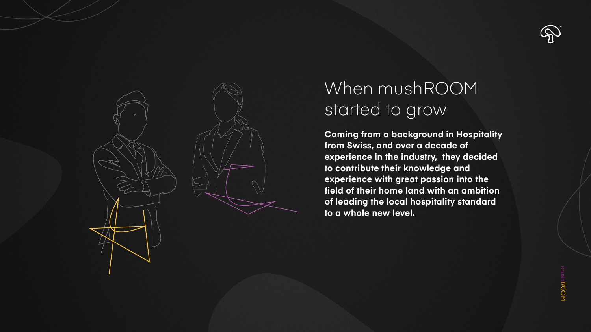

## When mushROOM started to grow

**Coming from a background in Hospitality from Swiss, and over a decade of experience in the industry, they decided to contribute their knowledge and experience with great passion into the field of their home land with an ambition of leading the local hospitality standard to a whole new level.**



mushROOM **MOOBUSNU**